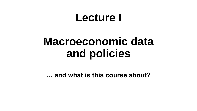## **Lecture I**

# **Macroeconomic data and policies**

**… and what is this course about?**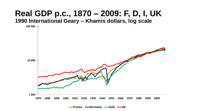#### **Real GDP p.c., 1870 – 2009: F, D, I, UK 1990 International Geary – Khamis dollars, log scale**



**France -Germany -Italy -UK**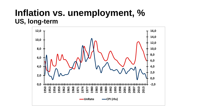### **Inflation vs. unemployment, % US, long-term**

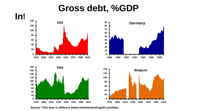## **Gross debt, %GDP**



**Source: This time is different (www.rheinhartandrogoff.com/data**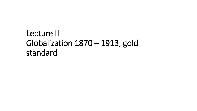## Lecture II Globalization 1870 – 1913, gold standard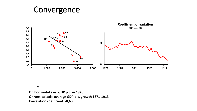## Convergence



**On horizontal axis: GDP p.c. in 1870 On vertical axis: average GDP p.c. growth 1871-1913 Correlation coefficient: -0,63**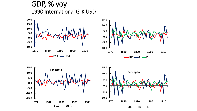#### GDP, % yoy 1990 International G-K USD







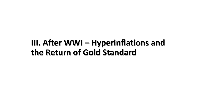## **III. After WWI – Hyperinflations and the Return of Gold Standard**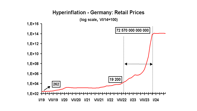#### **Hyperinflation - Germany: Retail Prices**

(log scale, VI/14=100)

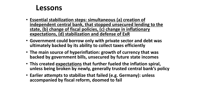#### **Lessons**

- **Essential stabilization steps: simultaneous (a) creation of independent central bank, that stopped unsecured lending to the state, (b) change of fiscal policies, (c) change in inflationary expectations, (d) stabilization and defense of ExR**
- **Government could borrow only with private sector and debt was ultimately backed by its ability to collect taxes efficiently**
- **The main source of hyperinflation: growth of currency that was backed by government bills, unsecured by future state incomes**
- **This created expectations that further fueled the inflation spiral, unless being broken by newly, generally trusted central bank's policy**
- **Earlier attempts to stabilize that failed (e.g. Germany): unless accompanied by fiscal reform, doomed to fail**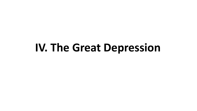## **IV. The Great Depression**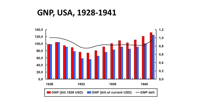**GNP, USA, 1928-1941**

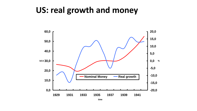### **US: real growth and money**



**time**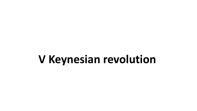## **V Keynesian revolution**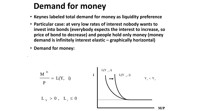## **Demand for money**

- **Keynes labeled total demand for money as liquidity preference**
- **Particular case: at very low rates of interest nobody wants to invest into bonds (everybody expects the interest to increase, so price of bond to decrease) and people hold only money (money demand is infinitely interest elastic – graphically horizontal)**
- **Demand for money:**

,

$$
\frac{M}{P} = L(Y, i)
$$
\n
$$
L_{Y} > 0, L_{i} \leq 0
$$
\n
$$
L_{Y} = 0, L_{Y} \leq 0
$$
\n
$$
M_{Y} = 0
$$
\n
$$
M_{Y} = 0
$$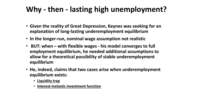### **Why - then - lasting high unemployment?**

- **Given the reality of Great Depression, Keynes was seeking for an explanation of long-lasting underemployment equilibrium**
- **In the longer-run, nominal wage assumption not realistic**
- **BUT: when – with flexible wages - his model converges to full employment equilibrium, he needed additional assumptions to allow for a theoretical possibility of stable underemployment equilibrium**
- **He, indeed, claims that two cases arise when underemployment equilibrium exists:**
	- **Liquidity trap**
	- **Interest-inelastic investment function**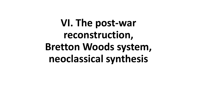**VI. The post-war reconstruction, Bretton Woods system, neoclassical synthesis**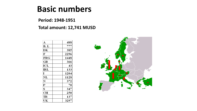### **Basic numbers**

#### **Period: 1948-1951**

#### **Total amount: 12,741 MUSD**

| А                      | 488  |
|------------------------|------|
| B, L                   | 777  |
| DК                     | 385  |
| F                      | 2296 |
| FRG                    | 1448 |
| GR                     | 366  |
| ICL                    | 43   |
| $\mathbf{R}\mathbf{L}$ | 133  |
| I                      | 1204 |
| $\mathbf{NL}$          | 1128 |
| N                      | 372  |
| $\mathbf P$            | 70   |
| S                      | 347  |
| CН                     | 250  |
| TR                     | 137  |
| UK                     | 3297 |

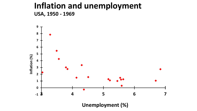#### **Inflation and unemployment USA, 1950 - 1969**

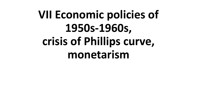# **VII Economic policies of 1950s-1960s, crisis of Phillips curve, monetarism**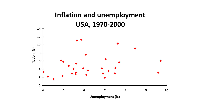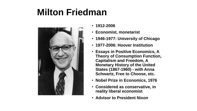## **Milton Friedman**



- **1912-2006**
- **Economist, monetarist**
- **1946-1977: University of Chicago**
- **1977-2006: Hoover Institution**
- **Essays in Positive Economics, A Theory of Consumption Function, Capitalism and Freedom, A Monetary History of the United States (1867-1960) - with Anna Schwartz, Free to Choose, etc.**
- **Nobel Prize in Economics, 1976**
- **Considered as conservative, in reality liberal economist**
- **Advisor to President Nixon**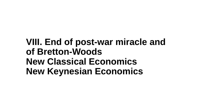## **VIII. End of post-war miracle and of Bretton-Woods New Classical Economics New Keynesian Economics**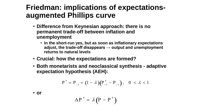### **Friedman: implications of expectationsaugmented Phillips curve**

- **Difference from Keynesian approach: there is no permanent trade-off between inflation and unemployment**
	- **In the short-run yes, but as soon as inflationary expectations adjust, the trade-off disappears → output and unemployment returns to natural levels**
- **Crucial: how the expectations are formed?**
- **Both monetarists and neoclassical synthesis - adaptive expectation hypothesis (AEH):**

$$
P^e = P_{-1} + (1 - \lambda) (P_{-1}^e - P_{-1}), \quad 0 < \lambda < 1
$$

• **or**

$$
\Delta P^{\text{e}} = \lambda (P - P^{\text{e}})
$$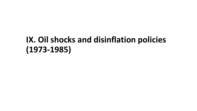## **IX. Oil shocks and disinflation policies (1973-1985)**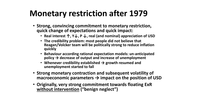## **Monetary restriction after 1979**

- **Strong, convincing commitment to monetary restriction, quick change of expectations and quick impact:**
	- **Real interest ↑, Y↓, P ↓, real (and nominal) appreciation of USD**
	- **The credibility problem: most people did not believe that Reagan/Volcker team will be politically strong to reduce inflation quickly**
	- **Behaviour according rational expectation models: un-anticipated policy → decrease of output and increase of unemployment**
	- **Whenever credibility established → growth resumed and unemployment started to fall**
- **Strong monetary contraction and subsequent volatility of macroeconomic parameters → impact on the position of USD**
- **Originally, very strong commitment towards floating ExR without intervention ("benign neglect")**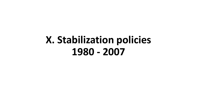## **X. Stabilization policies 1980 - 2007**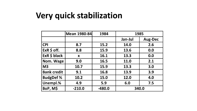## **Very quick stabilization**

|                    | <b>Mean 1980-84</b> | 1984     | 1985    |                |
|--------------------|---------------------|----------|---------|----------------|
|                    |                     |          | Jan-Jul | <b>Aug-Dec</b> |
| <b>CPI</b>         | 8.7                 | 15.2     | 14.0    | 2.6            |
| $ExR$ \$ off.      | 8.8                 | 15.9     | 13.6    | 0.0            |
| ExR \$ black       | X                   | 16.1     | 13.3    | 0.0            |
| Nom. Wage          | 9.0                 | 16.5     | 11.0    | 2.1            |
| M <sub>3</sub>     | 10.7                | 15.9     | 13.3    | 3.0            |
| <b>Bank credit</b> | 9.1                 | 16.8     | 13.9    | 3.9            |
| <b>BudgDef %</b>   | 10.2                | 15.0     | 12.0    | 4.0            |
| Unempl.%           | 4.9                 | 5.9      | 6.0     | 7.5            |
| BoP, M\$           | $-210.0$            | $-480.0$ | 340.0   |                |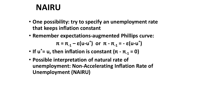### **NAIRU**

- **One possibility: try to specify an unemployment rate that keeps inflation constant**
- **Remember expectations-augmented Phillips curve:**  $\pi = \pi_{-1} - \varepsilon(\mathsf{u} \cdot \mathsf{u}^*)$  or  $\pi - \pi_{-1} = -\varepsilon(\mathsf{u} \cdot \mathsf{u}^*)$
- If  $u^* = u$ , then inflation is constant  $(\pi \pi) = 0$
- **Possible interpretation of natural rate of unemployment: Non-Accelerating Inflation Rate of Unemployment (NAIRU)**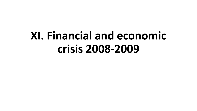# **XI. Financial and economic crisis 2008-2009**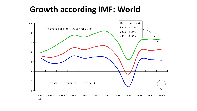## **Growth according IMF: World**

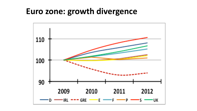### **Euro zone: growth divergence**

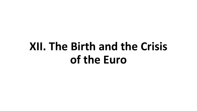# **XII. The Birth and the Crisis of the Euro**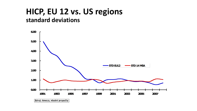#### **HICP, EU 12 vs. US regions standard deviations**